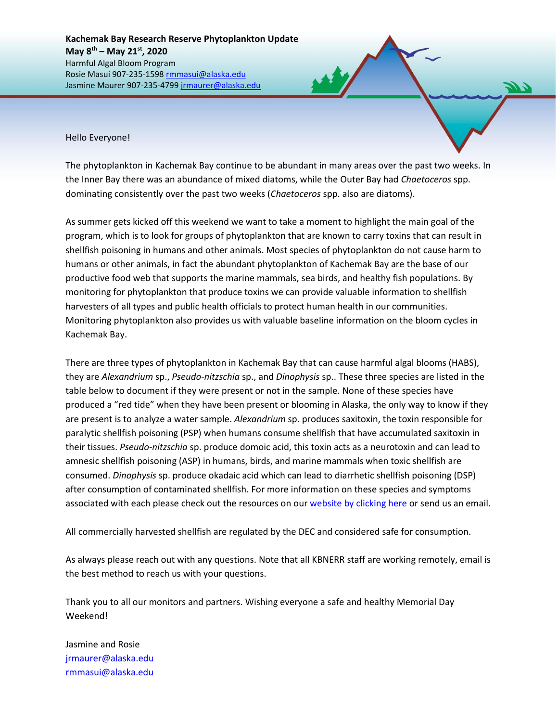Hello Everyone!

The phytoplankton in Kachemak Bay continue to be abundant in many areas over the past two weeks. In the Inner Bay there was an abundance of mixed diatoms, while the Outer Bay had *Chaetoceros* spp. dominating consistently over the past two weeks (*Chaetoceros* spp. also are diatoms).

As summer gets kicked off this weekend we want to take a moment to highlight the main goal of the program, which is to look for groups of phytoplankton that are known to carry toxins that can result in shellfish poisoning in humans and other animals. Most species of phytoplankton do not cause harm to humans or other animals, in fact the abundant phytoplankton of Kachemak Bay are the base of our productive food web that supports the marine mammals, sea birds, and healthy fish populations. By monitoring for phytoplankton that produce toxins we can provide valuable information to shellfish harvesters of all types and public health officials to protect human health in our communities. Monitoring phytoplankton also provides us with valuable baseline information on the bloom cycles in Kachemak Bay.

There are three types of phytoplankton in Kachemak Bay that can cause harmful algal blooms (HABS), they are *Alexandrium* sp., *Pseudo-nitzschia* sp., and *Dinophysis* sp.. These three species are listed in the table below to document if they were present or not in the sample. None of these species have produced a "red tide" when they have been present or blooming in Alaska, the only way to know if they are present is to analyze a water sample. *Alexandrium* sp. produces saxitoxin, the toxin responsible for paralytic shellfish poisoning (PSP) when humans consume shellfish that have accumulated saxitoxin in their tissues. *Pseudo-nitzschia* sp. produce domoic acid, this toxin acts as a neurotoxin and can lead to amnesic shellfish poisoning (ASP) in humans, birds, and marine mammals when toxic shellfish are consumed. *Dinophysis* sp. produce okadaic acid which can lead to diarrhetic shellfish poisoning (DSP) after consumption of contaminated shellfish. For more information on these species and symptoms associated with each please check out the resources on our [website by clicking here](https://accs.uaa.alaska.edu/kbnerr/community-monitoring/community-monitor-training-resources/) or send us an email.

All commercially harvested shellfish are regulated by the DEC and considered safe for consumption.

As always please reach out with any questions. Note that all KBNERR staff are working remotely, email is the best method to reach us with your questions.

Thank you to all our monitors and partners. Wishing everyone a safe and healthy Memorial Day Weekend!

Jasmine and Rosie [jrmaurer@alaska.edu](mailto:jrmaurer@alaska.edu) [rmmasui@alaska.edu](mailto:rmmasui@alaska.edu)